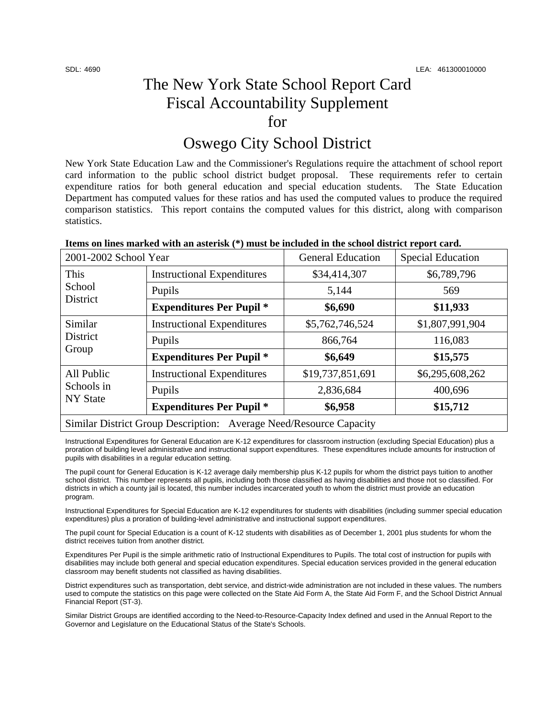# The New York State School Report Card Fiscal Accountability Supplement for

# Oswego City School District

New York State Education Law and the Commissioner's Regulations require the attachment of school report card information to the public school district budget proposal. These requirements refer to certain expenditure ratios for both general education and special education students. The State Education Department has computed values for these ratios and has used the computed values to produce the required comparison statistics. This report contains the computed values for this district, along with comparison statistics.

| rens on mics marked with an asteristy ( ) mast be included in the school district report cardi |                                   |                          |                          |  |  |
|------------------------------------------------------------------------------------------------|-----------------------------------|--------------------------|--------------------------|--|--|
| 2001-2002 School Year                                                                          |                                   | <b>General Education</b> | <b>Special Education</b> |  |  |
| This<br>School<br>District                                                                     | <b>Instructional Expenditures</b> | \$34,414,307             | \$6,789,796              |  |  |
|                                                                                                | Pupils                            | 5,144                    | 569                      |  |  |
|                                                                                                | <b>Expenditures Per Pupil *</b>   | \$6,690                  | \$11,933                 |  |  |
| Similar<br>District<br>Group                                                                   | <b>Instructional Expenditures</b> | \$5,762,746,524          | \$1,807,991,904          |  |  |
|                                                                                                | Pupils                            | 866,764                  | 116,083                  |  |  |
|                                                                                                | <b>Expenditures Per Pupil</b> *   | \$6,649                  | \$15,575                 |  |  |
| All Public<br>Schools in<br><b>NY State</b>                                                    | <b>Instructional Expenditures</b> | \$19,737,851,691         | \$6,295,608,262          |  |  |
|                                                                                                | Pupils                            | 2,836,684                | 400,696                  |  |  |
|                                                                                                | <b>Expenditures Per Pupil *</b>   | \$6,958                  | \$15,712                 |  |  |
| Similar District Group Description: Average Need/Resource Capacity                             |                                   |                          |                          |  |  |

#### **Items on lines marked with an asterisk (\*) must be included in the school district report card.**

Instructional Expenditures for General Education are K-12 expenditures for classroom instruction (excluding Special Education) plus a proration of building level administrative and instructional support expenditures. These expenditures include amounts for instruction of pupils with disabilities in a regular education setting.

The pupil count for General Education is K-12 average daily membership plus K-12 pupils for whom the district pays tuition to another school district. This number represents all pupils, including both those classified as having disabilities and those not so classified. For districts in which a county jail is located, this number includes incarcerated youth to whom the district must provide an education program.

Instructional Expenditures for Special Education are K-12 expenditures for students with disabilities (including summer special education expenditures) plus a proration of building-level administrative and instructional support expenditures.

The pupil count for Special Education is a count of K-12 students with disabilities as of December 1, 2001 plus students for whom the district receives tuition from another district.

Expenditures Per Pupil is the simple arithmetic ratio of Instructional Expenditures to Pupils. The total cost of instruction for pupils with disabilities may include both general and special education expenditures. Special education services provided in the general education classroom may benefit students not classified as having disabilities.

District expenditures such as transportation, debt service, and district-wide administration are not included in these values. The numbers used to compute the statistics on this page were collected on the State Aid Form A, the State Aid Form F, and the School District Annual Financial Report (ST-3).

Similar District Groups are identified according to the Need-to-Resource-Capacity Index defined and used in the Annual Report to the Governor and Legislature on the Educational Status of the State's Schools.